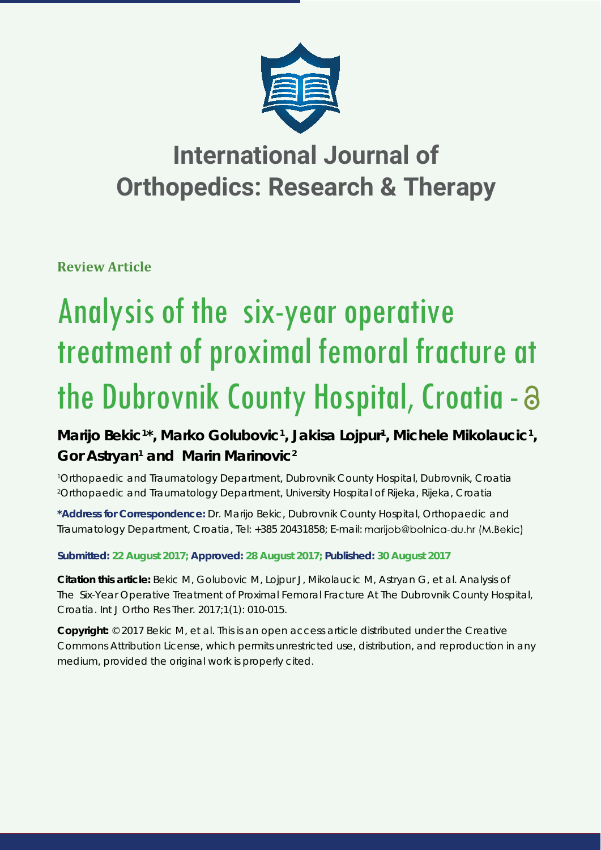

# **International Journal of Orthopedics: Research & Therapy**

**Review Article**

# Analysis of the six-year operative treatment of proximal femoral fracture at the Dubrovnik County Hospital, Croatia -

Marijo Bekic<sup>1\*</sup>, Marko Golubovic<sup>1</sup>, Jakisa Lojpur<sup>1</sup>, Michele Mikolaucic<sup>1</sup>, Gor Astryan<sup>1</sup> and Marin Marinovic<sup>2</sup>

*1 Orthopaedic and Traumatology Department, Dubrovnik County Hospital, Dubrovnik, Croatia 2 Orthopaedic and Traumatology Department, University Hospital of Rijeka, Rijeka, Croatia*

**\*Address for Correspondence:** Dr. Marijo Bekic, Dubrovnik County Hospital, Orthopaedic and Traumatology Department, Croatia, Tel: +385 20431858; E-mail: marijob@bolnica-du.hr (M.Bekic)

**Submitted: 22 August 2017; Approved: 28 August 2017; Published: 30 August 2017**

**Citation this article:** Bekic M, Golubovic M, Lojpur J, Mikolaucic M, Astryan G, et al. Analysis of The Six-Year Operative Treatment of Proximal Femoral Fracture At The Dubrovnik County Hospital, Croatia. Int J Ortho Res Ther. 2017;1(1): 010-015.

**Copyright:** © 2017 Bekic M, et al. This is an open access article distributed under the Creative Commons Attribution License, which permits unrestricted use, distribution, and reproduction in any medium, provided the original work is properly cited.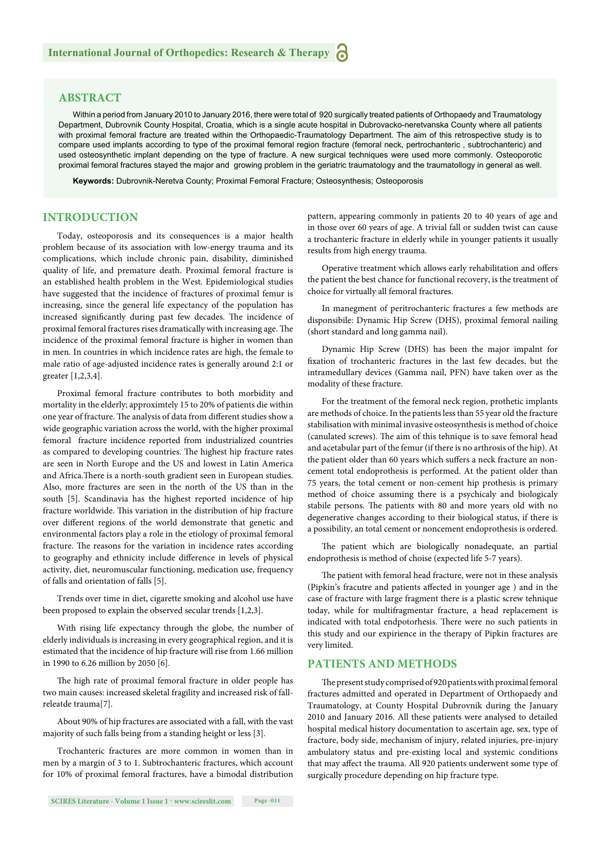#### **ABSTRACT**

Within a period from January 2010 to January 2016, there were total of 920 surgically treated patients of Orthopaedy and Traumatology Department, Dubrovnik County Hospital, Croatia, which is a single acute hospital in Dubrovacko-neretvanska County where all patients with proximal femoral fracture are treated within the Orthopaedic-Traumatology Department. The aim of this retrospective study is to compare used implants according to type of the proximal femoral region fracture (femoral neck, pertrochanteric , subtrochanteric) and used osteosynthetic implant depending on the type of fracture. A new surgical techniques were used more commonly. Osteoporotic proximal femoral fractures stayed the major and growing problem in the geriatric traumatology and the traumatollogy in general as well.

**Keywords:** Dubrovnik-Neretva County; Proximal Femoral Fracture; Osteosynthesis; Osteoporosis

# **INTRODUCTION**

Today, osteoporosis and its consequences is a major health problem because of its association with low-energy trauma and its complications, which include chronic pain, disability, diminished quality of life, and premature death. Proximal femoral fracture is an established health problem in the West. Epidemiological studies have suggested that the incidence of fractures of proximal femur is increasing, since the general life expectancy of the population has increased significantly during past few decades. The incidence of proximal femoral fractures rises dramatically with increasing age. The incidence of the proximal femoral fracture is higher in women than in men. In countries in which incidence rates are high, the female to male ratio of age-adjusted incidence rates is generally around 2:1 or greater [1,2,3,4].

Proximal femoral fracture contributes to both morbidity and mortality in the elderly; approximtely 15 to 20% of patients die within one year of fracture. The analysis of data from different studies show a wide geographic variation across the world, with the higher proximal femoral fracture incidence reported from industrialized countries as compared to developing countries. The highest hip fracture rates are seen in North Europe and the US and lowest in Latin America and Africa.There is a north-south gradient seen in European studies. Also, more fractures are seen in the north of the US than in the south [5]. Scandinavia has the highest reported incidence of hip fracture worldwide. This variation in the distribution of hip fracture over different regions of the world demonstrate that genetic and environmental factors play a role in the etiology of proximal femoral fracture. The reasons for the variation in incidence rates according to geography and ethnicity include difference in levels of physical activity, diet, neuromuscular functioning, medication use, frequency of falls and orientation of falls [5].

Trends over time in diet, cigarette smoking and alcohol use have been proposed to explain the observed secular trends [1,2,3].

With rising life expectancy through the globe, the number of elderly individuals is increasing in every geographical region, and it is estimated that the incidence of hip fracture will rise from 1.66 million in 1990 to 6.26 million by 2050 [6].

The high rate of proximal femoral fracture in older people has two main causes: increased skeletal fragility and increased risk of fallreleatde trauma[7].

About 90% of hip fractures are associated with a fall, with the vast majority of such falls being from a standing height or less [3].

Trochanteric fractures are more common in women than in men by a margin of 3 to 1. Subtrochanteric fractures, which account for 10% of proximal femoral fractures, have a bimodal distribution pattern, appearing commonly in patients 20 to 40 years of age and in those over 60 years of age. A trivial fall or sudden twist can cause a trochanteric fracture in elderly while in younger patients it usually results from high energy trauma.

Operative treatment which allows early rehabilitation and offers the patient the best chance for functional recovery, is the treatment of choice for virtually all femoral fractures.

In manegment of peritrochanteric fractures a few methods are disponsibile: Dynamic Hip Screw (DHS), proximal femoral nailing (short standard and long gamma nail).

Dynamic Hip Screw (DHS) has been the major impalnt for fixation of trochanteric fractures in the last few decades, but the intramedullary devices (Gamma nail, PFN) have taken over as the modality of these fracture.

For the treatment of the femoral neck region, prothetic implants are methods of choice. In the patients less than 55 year old the fracture stabilisation with minimal invasive osteosynthesis is method of choice (canulated screws). The aim of this tehnique is to save femoral head and acetabular part of the femur (if there is no arthrosis of the hip). At the patient older than 60 years which suffers a neck fracture an noncement total endoprothesis is performed. At the patient older than 75 years, the total cement or non-cement hip prothesis is primary method of choice assuming there is a psychicaly and biologicaly stabile persons. The patients with 80 and more years old with no degenerative changes according to their biological status, if there is a possibility, an total cement or noncement endoprothesis is ordered.

The patient which are biologically nonadequate, an partial endoprothesis is method of choise (expected life 5-7 years).

The patient with femoral head fracture, were not in these analysis (Pipkin's fracutre and patients affected in younger age) and in the case of fracture with large fragment there is a plastic screw tehnique today, while for multifragmentar fracture, a head replacement is indicated with total endpotorhesis. There were no such patients in this study and our expirience in the therapy of Pipkin fractures are very limited.

#### **PATIENTS AND METHODS**

The present study comprised of 920 patients with proximal femoral fractures admitted and operated in Department of Orthopaedy and Traumatology, at County Hospital Dubrovnik during the January 2010 and January 2016. All these patients were analysed to detailed hospital medical history documentation to ascertain age, sex, type of fracture, body side, mechanism of injury, related injuries, pre-injury ambulatory status and pre-existing local and systemic conditions that may affect the trauma. All 920 patients underwent some type of surgically procedure depending on hip fracture type.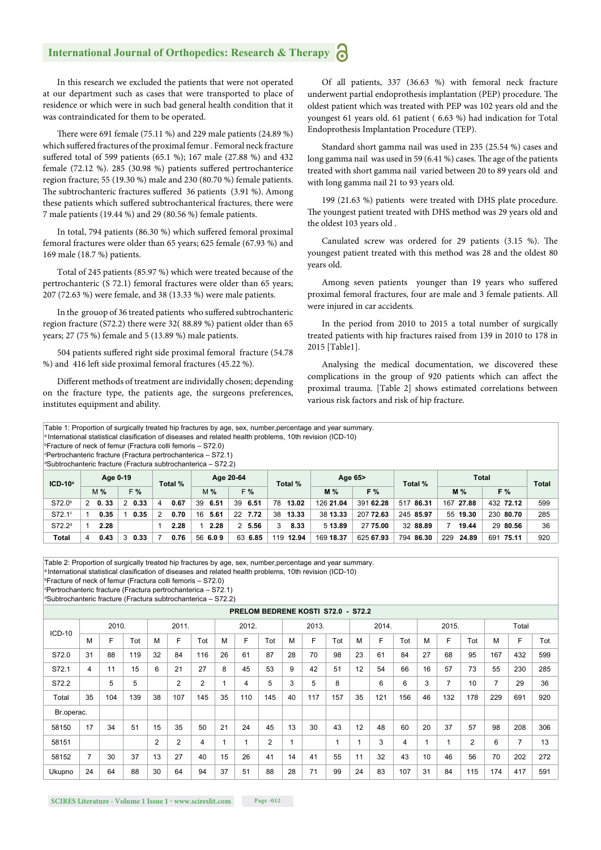# **International Journal of Orthopedics: Research & Therapy**

In this research we excluded the patients that were not operated at our department such as cases that were transported to place of residence or which were in such bad general health condition that it was contraindicated for them to be operated.

There were 691 female (75.11 %) and 229 male patients (24.89 %) which suffered fractures of the proximal femur . Femoral neck fracture suffered total of 599 patients (65.1 %); 167 male (27.88 %) and 432 female (72.12 %). 285 (30.98 %) patients suffered pertrochanterice region fracture; 55 (19.30 %) male and 230 (80.70 %) female patients. The subtrochanteric fractures suffered 36 patients (3.91 %). Among these patients which suffered subtrochanterical fractures, there were 7 male patients (19.44 %) and 29 (80.56 %) female patients.

In total, 794 patients (86.30 %) which suffered femoral proximal femoral fractures were older than 65 years; 625 female (67.93 %) and 169 male (18.7 %) patients.

Total of 245 patients (85.97 %) which were treated because of the pertrochanteric (S 72.1) femoral fractures were older than 65 years; 207 (72.63 %) were female, and 38 (13.33 %) were male patients.

In the grouop of 36 treated patients who suffered subtrochanteric region fracture (S72.2) there were 32( 88.89 %) patient older than 65 years; 27 (75 %) female and 5 (13.89 %) male patients.

504 patients suffered right side proximal femoral fracture (54.78 %) and 416 left side proximal femoral fractures (45.22 %).

Different methods of treatment are individally chosen; depending on the fracture type, the patients age, the surgeons preferences, institutes equipment and ability.

Of all patients, 337 (36.63 %) with femoral neck fracture underwent partial endoprothesis implantation (PEP) procedure. The oldest patient which was treated with PEP was 102 years old and the youngest 61 years old. 61 patient ( 6.63 %) had indication for Total Endoprothesis Implantation Procedure (TEP).

Standard short gamma nail was used in 235 (25.54 %) cases and long gamma nail was used in 59 (6.41 %) cases. The age of the patients treated with short gamma nail varied between 20 to 89 years old and with long gamma nail 21 to 93 years old.

199 (21.63 %) patients were treated with DHS plate procedure. The youngest patient treated with DHS method was 29 years old and the oldest 103 years old .

Canulated screw was ordered for 29 patients  $(3.15 \%)$ . The youngest patient treated with this method was 28 and the oldest 80 years old.

Among seven patients younger than 19 years who suffered proximal femoral fractures, four are male and 3 female patients. All were injured in car accidents.

In the period from 2010 to 2015 a total number of surgically treated patients with hip fractures raised from 139 in 2010 to 178 in 2015 [Table1].

Analysing the medical documentation, we discovered these complications in the group of 920 patients which can affect the proximal trauma. [Table 2] shows estimated correlations between various risk factors and risk of hip fracture.

| Table 1: Proportion of surgically treated hip fractures by age, sex, number, percentage and year summary.<br>a International statistical clasification of diseases and related health problems, 10th revision (ICD-10)<br><b>Exacture of neck of femur (Fractura colli femoris – S72.0)</b><br><b>Pertrochanteric fracture (Fractura pertrochanterica – S72.1)</b><br><sup>d</sup> Subtrochanteric fracture (Fractura subtrochanterica - S72.2) |             |       |   |             |         |      |           |             |    |         |         |           |           |              |           |              |           |     |
|-------------------------------------------------------------------------------------------------------------------------------------------------------------------------------------------------------------------------------------------------------------------------------------------------------------------------------------------------------------------------------------------------------------------------------------------------|-------------|-------|---|-------------|---------|------|-----------|-------------|----|---------|---------|-----------|-----------|--------------|-----------|--------------|-----------|-----|
| $ICD-10a$                                                                                                                                                                                                                                                                                                                                                                                                                                       | Age 0-19    |       |   |             | Total % |      | Age 20-64 |             |    | Total % | Age 65> |           | Total %   | <b>Total</b> | Total     |              |           |     |
|                                                                                                                                                                                                                                                                                                                                                                                                                                                 |             | $M\%$ |   | F%          |         |      |           | F%<br>$M\%$ |    |         |         | $M\%$     | F%        |              | $M\%$     | F%           |           |     |
| S72.0 <sup>b</sup>                                                                                                                                                                                                                                                                                                                                                                                                                              | $2\;\;0.33$ |       |   | $2\;\;0.33$ | 4       | 0.67 |           | 39 6.51     | 39 | 6.51    |         | 78 13.02  | 126 21.04 | 391 62.28    | 517 86.31 | 167 27.88    | 432 72.12 | 599 |
| $S72.1^\circ$                                                                                                                                                                                                                                                                                                                                                                                                                                   |             | 0.35  |   | 0.35        | 2       | 0.70 |           | 16 5.61     |    | 22 7.72 | 38      | 13.33     | 38 13.33  | 207 72.63    | 245 85.97 | 55 19.30     | 230 80.70 | 285 |
| S72.2 <sup>d</sup>                                                                                                                                                                                                                                                                                                                                                                                                                              |             | 2.28  |   |             |         | 2.28 |           | 2.28        |    | 2, 5.56 | 3       | 8.33      | 5 13.89   | 27 75.00     | 32 88.89  | 19.44        | 29 80.56  | 36  |
| Total                                                                                                                                                                                                                                                                                                                                                                                                                                           | 4           | 0.43  | 3 | 0.33        |         | 0.76 |           | 56 6.0 9    |    | 63 6.85 |         | 119 12.94 | 169 18.37 | 625 67.93    | 794 86.30 | 229<br>24.89 | 691 75.11 | 920 |

Table 2: Proportion of surgically treated hip fractures by age, sex, number,percentage and year summary.<br><sup>a</sup> International statistical clasification of diseases and related health problems, 10th revision (ICD-10)

b Fracture of neck of femur (Fractura colli femoris – S72.0)

c Pertrochanteric fracture (Fractura pertrochanterica – S72.1) d Subtrochanteric fracture (Fractura subtrochanterica – S72.2)

**PRELOM BEDRENE KOSTI S72.0 - S72.2** ICD-10 2010. 2011. 2012. 2013. 2014. 2015. Total M | F | Tot | M | F | Tot | M | F | Tot | M | F | Tot | M | M | M | M | F | Tot | M | F | Tot S72.0 31 88 119 32 84 116 26 61 87 28 70 98 23 61 84 27 68 95 167 432 599 S72.1 4 11 15 6 21 27 8 45 53 9 42 51 12 54 66 16 57 73 55 230 285  $\text{S}72.2 \quad | \quad 5 \quad 5 \quad | \quad 2 \quad | \quad 2 \quad | \quad 1 \quad | \quad 4 \quad | \quad 5 \quad | \quad 3 \quad | \quad 5 \quad | \quad 8 \quad | \quad 6 \quad | \quad 6 \quad | \quad 3 \quad | \quad 7 \quad | \quad 29 \quad | \quad 36$ Total 35 104 139 38 107 145 35 110 145 40 117 157 35 121 156 46 132 178 229 691 920 Br.operac. 58150 17 34 51 15 35 50 21 24 45 13 30 43 12 48 60 20 37 57 98 208 306 58151 2 2 4 1 1 2 1 1 1 3 4 1 1 2 6 7 13 58152 7 30 37 13 27 40 15 26 41 14 41 55 11 32 43 10 46 56 70 202 272 Ukupno 24 64 88 30 64 94 37 51 88 28 71 99 24 83 107 31 84 115 174 417 591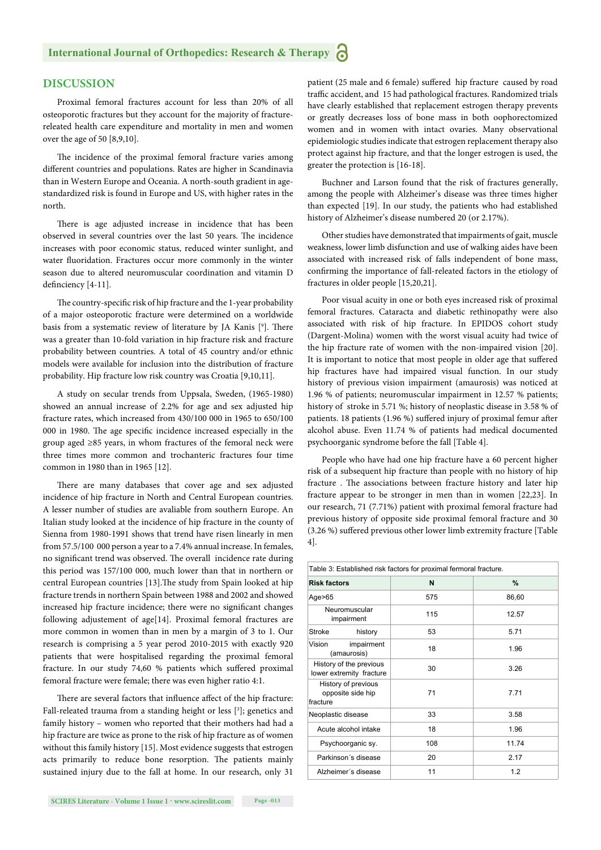# **DISCUSSION**

Proximal femoral fractures account for less than 20% of all osteoporotic fractures but they account for the majority of fracturereleated health care expenditure and mortality in men and women over the age of 50 [8,9,10].

The incidence of the proximal femoral fracture varies among different countries and populations. Rates are higher in Scandinavia than in Western Europe and Oceania. A north-south gradient in agestandardized risk is found in Europe and US, with higher rates in the north.

There is age adjusted increase in incidence that has been observed in several countries over the last 50 years. The incidence increases with poor economic status, reduced winter sunlight, and water fluoridation. Fractures occur more commonly in the winter season due to altered neuromuscular coordination and vitamin D definciency [4-11].

The country-specific risk of hip fracture and the 1-year probability of a major osteoporotic fracture were determined on a worldwide basis from a systematic review of literature by JA Kanis [9]. There was a greater than 10-fold variation in hip fracture risk and fracture probability between countries. A total of 45 country and/or ethnic models were available for inclusion into the distribution of fracture probability. Hip fracture low risk country was Croatia [9,10,11].

A study on secular trends from Uppsala, Sweden, (1965-1980) showed an annual increase of 2.2% for age and sex adjusted hip fracture rates, which increased from 430/100 000 in 1965 to 650/100 000 in 1980. The age specific incidence increased especially in the group aged ≥85 years, in whom fractures of the femoral neck were three times more common and trochanteric fractures four time common in 1980 than in 1965 [12].

There are many databases that cover age and sex adjusted incidence of hip fracture in North and Central European countries. A lesser number of studies are avaliable from southern Europe. An Italian study looked at the incidence of hip fracture in the county of Sienna from 1980-1991 shows that trend have risen linearly in men from 57.5/100 000 person a year to a 7.4% annual increase. In females, no significant trend was observed. The overall incidence rate during this period was 157/100 000, much lower than that in northern or central European countries [13]. The study from Spain looked at hip fracture trends in northern Spain between 1988 and 2002 and showed increased hip fracture incidence; there were no significant changes following adjustement of age[14]. Proximal femoral fractures are more common in women than in men by a margin of 3 to 1. Our research is comprising a 5 year perod 2010-2015 with exactly 920 patients that were hospitalised regarding the proximal femoral fracture. In our study 74,60 % patients which suffered proximal femoral fracture were female; there was even higher ratio 4:1.

There are several factors that influence affect of the hip fracture: Fall-releated trauma from a standing height or less [3]; genetics and family history – women who reported that their mothers had had a hip fracture are twice as prone to the risk of hip fracture as of women without this family history [15]. Most evidence suggests that estrogen acts primarily to reduce bone resorption. The patients mainly sustained injury due to the fall at home. In our research, only 31

patient (25 male and 6 female) suffered hip fracture caused by road traffic accident, and 15 had pathological fractures. Randomized trials have clearly established that replacement estrogen therapy prevents or greatly decreases loss of bone mass in both oophorectomized women and in women with intact ovaries. Many observational epidemiologic studies indicate that estrogen replacement therapy also protect against hip fracture, and that the longer estrogen is used, the greater the protection is [16-18].

Buchner and Larson found that the risk of fractures generally, among the people with Alzheimer's disease was three times higher than expected [19]. In our study, the patients who had established history of Alzheimer's disease numbered 20 (or 2.17%).

Other studies have demonstrated that impairments of gait, muscle weakness, lower limb disfunction and use of walking aides have been associated with increased risk of falls independent of bone mass, confirming the importance of fall-releated factors in the etiology of fractures in older people [15,20,21].

Poor visual acuity in one or both eyes increased risk of proximal femoral fractures. Cataracta and diabetic rethinopathy were also associated with risk of hip fracture. In EPIDOS cohort study (Dargent-Molina) women with the worst visual acuity had twice of the hip fracture rate of women with the non-impaired vision [20]. It is important to notice that most people in older age that suffered hip fractures have had impaired visual function. In our study history of previous vision impairment (amaurosis) was noticed at 1.96 % of patients; neuromuscular impairment in 12.57 % patients; history of stroke in 5.71 %; history of neoplastic disease in 3.58 % of patients. 18 patients (1.96 %) suffered injury of proximal femur after alcohol abuse. Even 11.74 % of patients had medical documented psychoorganic syndrome before the fall [Table 4].

People who have had one hip fracture have a 60 percent higher risk of a subsequent hip fracture than people with no history of hip fracture . The associations between fracture history and later hip fracture appear to be stronger in men than in women [22,23]. In our research, 71 (7.71%) patient with proximal femoral fracture had previous history of opposite side proximal femoral fracture and 30 (3.26 %) suffered previous other lower limb extremity fracture [Table 4].

| Table 3: Established risk factors for proximal fermoral fracture. |     |       |  |  |  |  |  |
|-------------------------------------------------------------------|-----|-------|--|--|--|--|--|
| <b>Risk factors</b>                                               | N   | $\%$  |  |  |  |  |  |
| Age $>65$                                                         | 575 | 86,60 |  |  |  |  |  |
| Neuromuscular<br>impairment                                       | 115 | 12.57 |  |  |  |  |  |
| Stroke<br>history                                                 | 53  | 5.71  |  |  |  |  |  |
| Vision<br>impairment<br>(amaurosis)                               | 18  | 1.96  |  |  |  |  |  |
| History of the previous<br>lower extremity fracture               | 30  | 3.26  |  |  |  |  |  |
| History of previous<br>opposite side hip<br>fracture              | 71  | 7.71  |  |  |  |  |  |
| Neoplastic disease                                                | 33  | 3.58  |  |  |  |  |  |
| Acute alcohol intake                                              | 18  | 1.96  |  |  |  |  |  |
| Psychoorganic sy.                                                 | 108 | 11.74 |  |  |  |  |  |
| Parkinson's disease                                               | 20  | 2.17  |  |  |  |  |  |
| Alzheimer's disease                                               | 11  | 1.2   |  |  |  |  |  |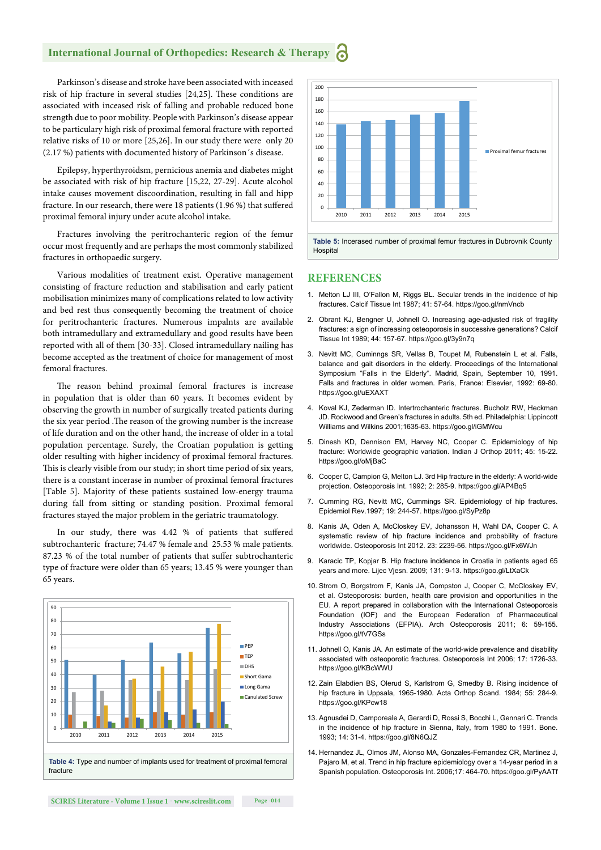### **International Journal of Orthopedics: Research & Therapy**

Parkinson's disease and stroke have been associated with inceased risk of hip fracture in several studies [24,25]. These conditions are associated with inceased risk of falling and probable reduced bone strength due to poor mobility. People with Parkinson's disease appear to be particulary high risk of proximal femoral fracture with reported relative risks of 10 or more [25,26]. In our study there were only 20 (2.17 %) patients with documented history of Parkinson´s disease.

Epilepsy, hyperthyroidsm, pernicious anemia and diabetes might be associated with risk of hip fracture [15,22, 27-29]. Acute alcohol intake causes movement discoordination, resulting in fall and hipp fracture. In our research, there were 18 patients (1.96 %) that suffered proximal femoral injury under acute alcohol intake.

Fractures involving the peritrochanteric region of the femur occur most frequently and are perhaps the most commonly stabilized fractures in orthopaedic surgery.

Various modalities of treatment exist. Operative management consisting of fracture reduction and stabilisation and early patient mobilisation minimizes many of complications related to low activity and bed rest thus consequently becoming the treatment of choice for peritrochanteric fractures. Numerous impalnts are available both intramedullary and extramedullary and good results have been reported with all of them [30-33]. Closed intramedullary nailing has become accepted as the treatment of choice for management of most femoral fractures.

The reason behind proximal femoral fractures is increase in population that is older than 60 years. It becomes evident by observing the growth in number of surgically treated patients during the six year period. The reason of the growing number is the increase of life duration and on the other hand, the increase of older in a total population percentage. Surely, the Croatian population is getting older resulting with higher incidency of proximal femoral fractures. This is clearly visible from our study; in short time period of six years, there is a constant incerase in number of proximal femoral fractures [Table 5]. Majority of these patients sustained low-energy trauma during fall from sitting or standing position. Proximal femoral fractures stayed the major problem in the geriatric traumatology.

In our study, there was 4.42 % of patients that suffered subtrochanteric fracture; 74.47 % female and 25.53 % male patients. 87.23 % of the total number of patients that suffer subtrochanteric type of fracture were older than 65 years; 13.45 % were younger than 65 years.





**Table 5:** Incerased number of proximal femur fractures in Dubrovnik County **Hospital** 

#### **REFERENCES**

- 1. Melton LJ III, O'Fallon M, Riggs BL. Secular trends in the incidence of hip fractures. Calcif Tissue Int 1987; 41: 57-64. https://goo.gl/nmVncb
- 2. Obrant KJ, Bengner U, Johnell O. Increasing age-adjusted risk of fragility fractures: a sign of increasing osteoporosis in successive generations? Calcif Tissue Int 1989; 44: 157-67. https://goo.gl/3y9n7q
- 3. Nevitt MC, Cuminngs SR, Vellas B, Toupet M, Rubenstein L et al. Falls, balance and gait disorders in the elderly. Proceedings of the International Symposium "Falls in the Elderly". Madrid, Spain, September 10, 1991. Falls and fractures in older women. Paris, France: Elsevier, 1992: 69-80. https://goo.gl/uEXAXT
- 4. Koval KJ, Zederman ID. Intertrochanteric fractures. Bucholz RW, Heckman JD. Rockwood and Green's fractures in adults. 5th ed. Philadelphia: Lippincott Williams and Wilkins 2001;1635-63. https://goo.gl/iGMWcu
- 5. Dinesh KD, Dennison EM, Harvey NC, Cooper C. Epidemiology of hip fracture: Worldwide geographic variation. Indian J Orthop 2011; 45: 15-22. https://goo.gl/oMjBaC
- 6. Cooper C, Campion G, Melton LJ. 3rd Hip fracture in the elderly: A world-wide projection. Osteoporosis Int. 1992; 2: 285-9. https://goo.gl/AP4Bq5
- 7. Cumming RG, Nevitt MC, Cummings SR. Epidemiology of hip fractures. Epidemiol Rev.1997; 19: 244-57. https://goo.gl/SyPz8p
- 8. Kanis JA, Oden A, McCloskey EV, Johansson H, Wahl DA, Cooper C. A systematic review of hip fracture incidence and probability of fracture worldwide. Osteoporosis Int 2012. 23: 2239-56. https://goo.gl/Fx6WJn
- 9. Karacic TP, Kopjar B. Hip fracture incidence in Croatia in patients aged 65 years and more. Lijec Vjesn. 2009; 131: 9-13. https://goo.gl/LtXaCk
- 10. Strom O, Borgstrom F, Kanis JA, Compston J, Cooper C, McCloskey EV, et al. Osteoporosis: burden, health care provision and opportunities in the EU. A report prepared in collaboration with the International Osteoporosis Foundation (IOF) and the European Federation of Pharmaceutical Industry Associations (EFPIA). Arch Osteoporosis 2011; 6: 59-155. https://goo.gl/tV7GSs
- 11. Johnell O, Kanis JA. An estimate of the world-wide prevalence and disability associated with osteoporotic fractures. Osteoporosis Int 2006; 17: 1726-33. https://goo.gl/KBcWWU
- 12. Zain Elabdien BS, Olerud S, Karlstrom G, Smedby B. Rising incidence of hip fracture in Uppsala, 1965-1980. Acta Orthop Scand. 1984; 55: 284-9. https://goo.gl/KPcw18
- 13. Agnusdei D, Camporeale A, Gerardi D, Rossi S, Bocchi L, Gennari C. Trends in the incidence of hip fracture in Sienna, Italy, from 1980 to 1991. Bone. 1993; 14: 31-4. https://goo.gl/8N6QJZ
- 14. Hernandez JL, Olmos JM, Alonso MA, Gonzales-Fernandez CR, Martinez J, Pajaro M, et al. Trend in hip fracture epidemiology over a 14-year period in a Spanish population. Osteoporosis Int. 2006;17: 464-70. https://goo.gl/PyAATf